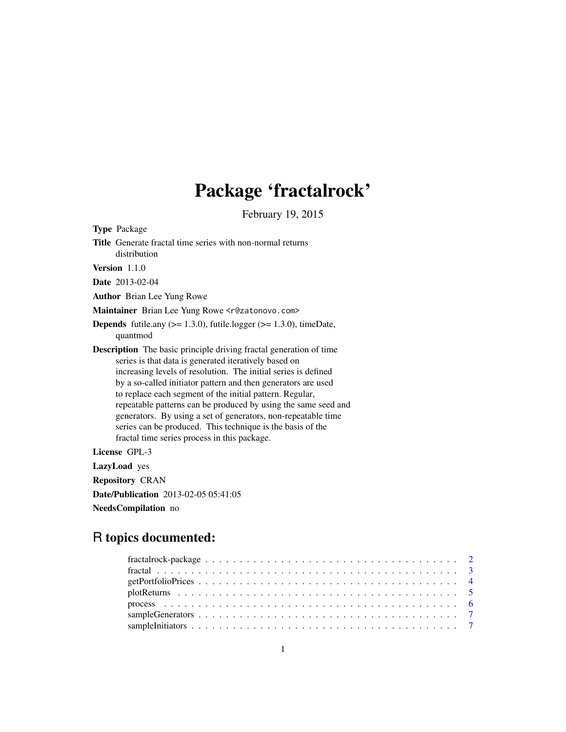# Package 'fractalrock'

February 19, 2015

Type Package

Title Generate fractal time series with non-normal returns distribution

Version 1.1.0

Date 2013-02-04

Author Brian Lee Yung Rowe

Maintainer Brian Lee Yung Rowe <r@zatonovo.com>

**Depends** futile.any  $(>= 1.3.0)$ , futile.logger  $(>= 1.3.0)$ , timeDate, quantmod

Description The basic principle driving fractal generation of time series is that data is generated iteratively based on increasing levels of resolution. The initial series is defined by a so-called initiator pattern and then generators are used to replace each segment of the initial pattern. Regular, repeatable patterns can be produced by using the same seed and generators. By using a set of generators, non-repeatable time series can be produced. This technique is the basis of the fractal time series process in this package.

License GPL-3

LazyLoad yes Repository CRAN Date/Publication 2013-02-05 05:41:05 NeedsCompilation no

# R topics documented: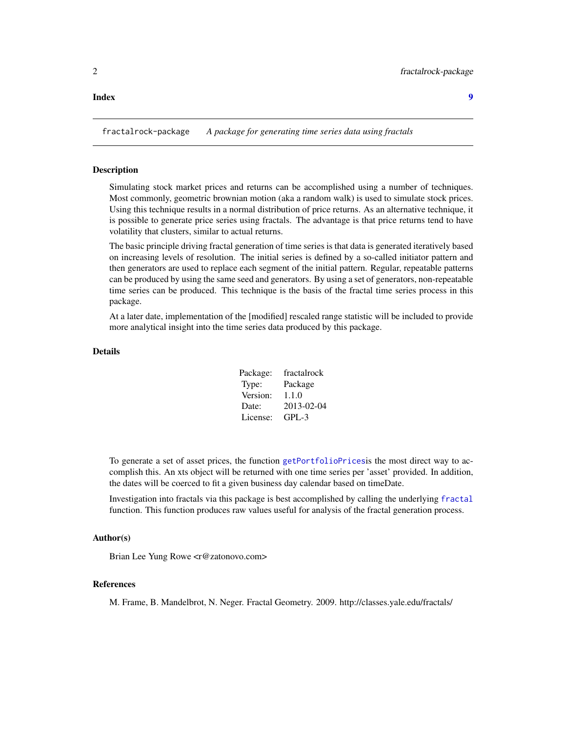#### <span id="page-1-0"></span>**Index** [9](#page-8-0)

fractalrock-package *A package for generating time series data using fractals*

#### Description

Simulating stock market prices and returns can be accomplished using a number of techniques. Most commonly, geometric brownian motion (aka a random walk) is used to simulate stock prices. Using this technique results in a normal distribution of price returns. As an alternative technique, it is possible to generate price series using fractals. The advantage is that price returns tend to have volatility that clusters, similar to actual returns.

The basic principle driving fractal generation of time series is that data is generated iteratively based on increasing levels of resolution. The initial series is defined by a so-called initiator pattern and then generators are used to replace each segment of the initial pattern. Regular, repeatable patterns can be produced by using the same seed and generators. By using a set of generators, non-repeatable time series can be produced. This technique is the basis of the fractal time series process in this package.

At a later date, implementation of the [modified] rescaled range statistic will be included to provide more analytical insight into the time series data produced by this package.

# Details

| Package: | fractalrock |
|----------|-------------|
| Type:    | Package     |
| Version: | 1.1.0       |
| Date:    | 2013-02-04  |
| License: | $GPL-3$     |

To generate a set of asset prices, the function [getPortfolioPrices](#page-3-1)is the most direct way to accomplish this. An xts object will be returned with one time series per 'asset' provided. In addition, the dates will be coerced to fit a given business day calendar based on timeDate.

Investigation into fractals via this package is best accomplished by calling the underlying [fractal](#page-2-1) function. This function produces raw values useful for analysis of the fractal generation process.

#### Author(s)

Brian Lee Yung Rowe <r@zatonovo.com>

### References

M. Frame, B. Mandelbrot, N. Neger. Fractal Geometry. 2009. http://classes.yale.edu/fractals/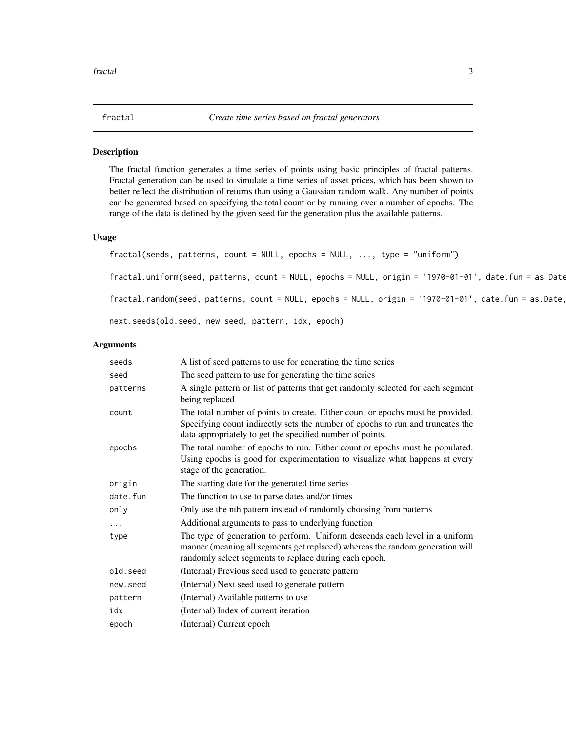<span id="page-2-1"></span><span id="page-2-0"></span>

# Description

The fractal function generates a time series of points using basic principles of fractal patterns. Fractal generation can be used to simulate a time series of asset prices, which has been shown to better reflect the distribution of returns than using a Gaussian random walk. Any number of points can be generated based on specifying the total count or by running over a number of epochs. The range of the data is defined by the given seed for the generation plus the available patterns.

### Usage

```
fractal(seeds, patterns, count = NULL, epochs = NULL, ..., type = "uniform")
fractal.uniform(seed, patterns, count = NULL, epochs = NULL, origin = '1970-01-01', date.fun = as.Date
fractal.random(seed, patterns, count = NULL, epochs = NULL, origin = '1970-01-01', date.fun = as.Date,next.seeds(old.seed, new.seed, pattern, idx, epoch)
```
# Arguments

| seeds    | A list of seed patterns to use for generating the time series                                                                                                                                                                 |
|----------|-------------------------------------------------------------------------------------------------------------------------------------------------------------------------------------------------------------------------------|
| seed     | The seed pattern to use for generating the time series                                                                                                                                                                        |
| patterns | A single pattern or list of patterns that get randomly selected for each segment<br>being replaced                                                                                                                            |
| count    | The total number of points to create. Either count or epochs must be provided.<br>Specifying count indirectly sets the number of epochs to run and truncates the<br>data appropriately to get the specified number of points. |
| epochs   | The total number of epochs to run. Either count or epochs must be populated.<br>Using epochs is good for experimentation to visualize what happens at every<br>stage of the generation.                                       |
| origin   | The starting date for the generated time series                                                                                                                                                                               |
| date.fun | The function to use to parse dates and/or times                                                                                                                                                                               |
| only     | Only use the nth pattern instead of randomly choosing from patterns                                                                                                                                                           |
|          | Additional arguments to pass to underlying function                                                                                                                                                                           |
| type     | The type of generation to perform. Uniform descends each level in a uniform<br>manner (meaning all segments get replaced) whereas the random generation will<br>randomly select segments to replace during each epoch.        |
| old.seed | (Internal) Previous seed used to generate pattern                                                                                                                                                                             |
| new.seed | (Internal) Next seed used to generate pattern                                                                                                                                                                                 |
| pattern  | (Internal) Available patterns to use                                                                                                                                                                                          |
| idx      | (Internal) Index of current iteration                                                                                                                                                                                         |
| epoch    | (Internal) Current epoch                                                                                                                                                                                                      |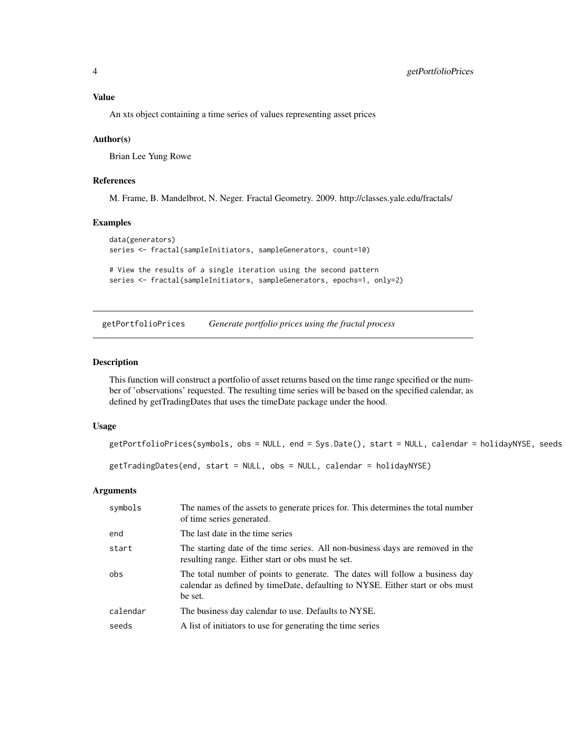# <span id="page-3-0"></span>Value

An xts object containing a time series of values representing asset prices

#### Author(s)

Brian Lee Yung Rowe

### References

M. Frame, B. Mandelbrot, N. Neger. Fractal Geometry. 2009. http://classes.yale.edu/fractals/

# Examples

```
data(generators)
series <- fractal(sampleInitiators, sampleGenerators, count=10)
# View the results of a single iteration using the second pattern
```
series <- fractal(sampleInitiators, sampleGenerators, epochs=1, only=2)

<span id="page-3-1"></span>getPortfolioPrices *Generate portfolio prices using the fractal process*

#### Description

This function will construct a portfolio of asset returns based on the time range specified or the number of 'observations' requested. The resulting time series will be based on the specified calendar, as defined by getTradingDates that uses the timeDate package under the hood.

#### Usage

getPortfolioPrices(symbols, obs = NULL, end = Sys.Date(), start = NULL, calendar = holidayNYSE, seeds

getTradingDates(end, start = NULL, obs = NULL, calendar = holidayNYSE)

#### Arguments

| symbols  | The names of the assets to generate prices for. This determines the total number<br>of time series generated.                                                            |
|----------|--------------------------------------------------------------------------------------------------------------------------------------------------------------------------|
| end      | The last date in the time series                                                                                                                                         |
| start    | The starting date of the time series. All non-business days are removed in the<br>resulting range. Either start or obs must be set.                                      |
| obs      | The total number of points to generate. The dates will follow a business day<br>calendar as defined by timeDate, defaulting to NYSE. Either start or obs must<br>be set. |
| calendar | The business day calendar to use. Defaults to NYSE.                                                                                                                      |
| seeds    | A list of initiators to use for generating the time series                                                                                                               |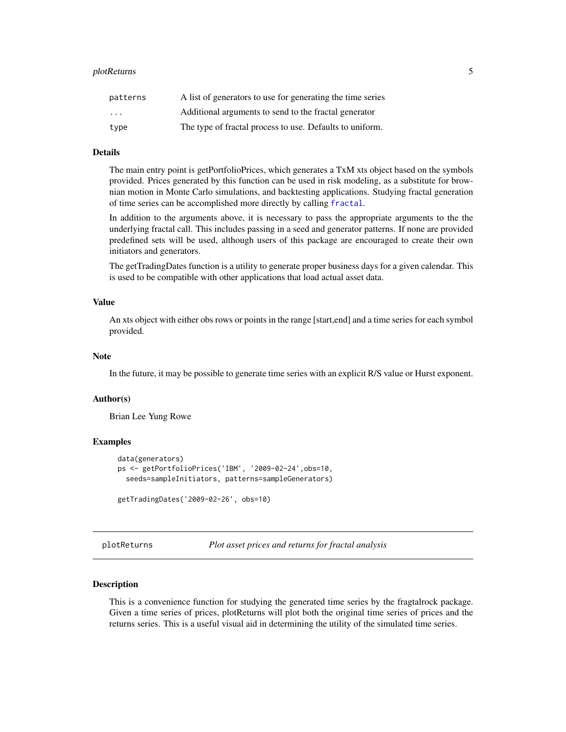#### <span id="page-4-0"></span>plotReturns 5

| patterns                | A list of generators to use for generating the time series |
|-------------------------|------------------------------------------------------------|
| $\cdot$ $\cdot$ $\cdot$ | Additional arguments to send to the fractal generator      |
| type                    | The type of fractal process to use. Defaults to uniform.   |

# Details

The main entry point is getPortfolioPrices, which generates a TxM xts object based on the symbols provided. Prices generated by this function can be used in risk modeling, as a substitute for brownian motion in Monte Carlo simulations, and backtesting applications. Studying fractal generation of time series can be accomplished more directly by calling [fractal](#page-2-1).

In addition to the arguments above, it is necessary to pass the appropriate arguments to the the underlying fractal call. This includes passing in a seed and generator patterns. If none are provided predefined sets will be used, although users of this package are encouraged to create their own initiators and generators.

The getTradingDates function is a utility to generate proper business days for a given calendar. This is used to be compatible with other applications that load actual asset data.

#### Value

An xts object with either obs rows or points in the range [start,end] and a time series for each symbol provided.

#### Note

In the future, it may be possible to generate time series with an explicit R/S value or Hurst exponent.

#### Author(s)

Brian Lee Yung Rowe

#### Examples

```
data(generators)
ps <- getPortfolioPrices('IBM', '2009-02-24',obs=10,
  seeds=sampleInitiators, patterns=sampleGenerators)
getTradingDates('2009-02-26', obs=10)
```
plotReturns *Plot asset prices and returns for fractal analysis*

#### **Description**

This is a convenience function for studying the generated time series by the fragtalrock package. Given a time series of prices, plotReturns will plot both the original time series of prices and the returns series. This is a useful visual aid in determining the utility of the simulated time series.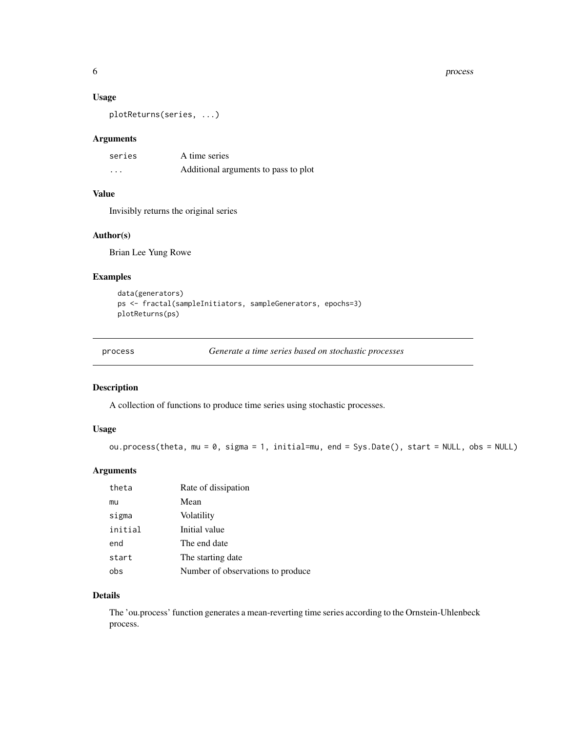#### <span id="page-5-0"></span>6 process and the contract of the contract of the contract of the contract of the contract of the contract of the contract of the contract of the contract of the contract of the contract of the contract of the contract of

#### Usage

plotReturns(series, ...)

### Arguments

| series                  | A time series                        |
|-------------------------|--------------------------------------|
| $\cdot$ $\cdot$ $\cdot$ | Additional arguments to pass to plot |

# Value

Invisibly returns the original series

# Author(s)

Brian Lee Yung Rowe

#### Examples

```
data(generators)
ps <- fractal(sampleInitiators, sampleGenerators, epochs=3)
plotReturns(ps)
```
process *Generate a time series based on stochastic processes*

# Description

A collection of functions to produce time series using stochastic processes.

#### Usage

```
ou.process(theta, mu = 0, sigma = 1, initial=mu, end = Sys.Date(), start = NULL, obs = NULL)
```
#### Arguments

| theta   | Rate of dissipation               |
|---------|-----------------------------------|
| mu      | Mean                              |
| sigma   | Volatility                        |
| initial | Initial value                     |
| end     | The end date                      |
| start   | The starting date                 |
| obs     | Number of observations to produce |

# Details

The 'ou.process' function generates a mean-reverting time series according to the Ornstein-Uhlenbeck process.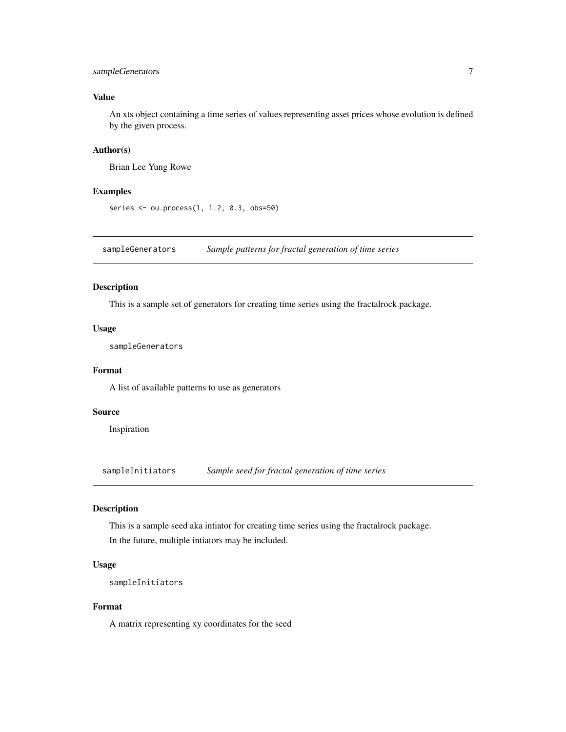# <span id="page-6-0"></span>sampleGenerators 7

# Value

An xts object containing a time series of values representing asset prices whose evolution is defined by the given process.

#### Author(s)

Brian Lee Yung Rowe

#### Examples

```
series <- ou.process(1, 1.2, 0.3, obs=50)
```
sampleGenerators *Sample patterns for fractal generation of time series*

#### Description

This is a sample set of generators for creating time series using the fractalrock package.

# Usage

sampleGenerators

# Format

A list of available patterns to use as generators

#### Source

Inspiration

sampleInitiators *Sample seed for fractal generation of time series*

# Description

This is a sample seed aka intiator for creating time series using the fractalrock package. In the future, multiple intiators may be included.

# Usage

```
sampleInitiators
```
# Format

A matrix representing xy coordinates for the seed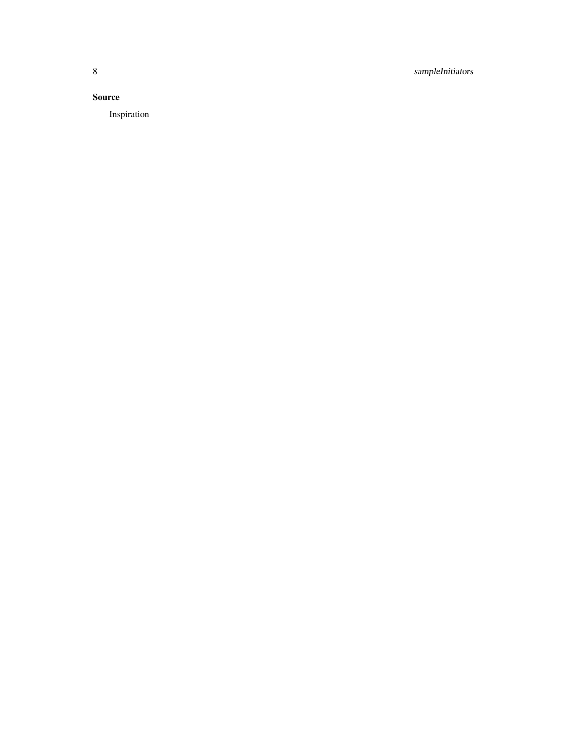8 sampleInitiators

# Source

Inspiration